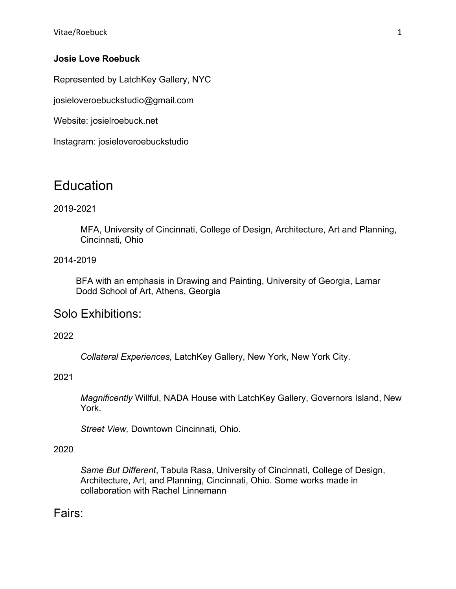Vitae/Roebuck 1

#### **Josie Love Roebuck**

Represented by LatchKey Gallery, NYC

josieloveroebuckstudio@gmail.com

Website: josielroebuck.net

Instagram: josieloveroebuckstudio

# **Education**

### 2019-2021

MFA, University of Cincinnati, College of Design, Architecture, Art and Planning, Cincinnati, Ohio

#### 2014-2019

BFA with an emphasis in Drawing and Painting, University of Georgia, Lamar Dodd School of Art, Athens, Georgia

## Solo Exhibitions:

2022

*Collateral Experiences,* LatchKey Gallery, New York, New York City.

#### 2021

*Magnificently* Willful, NADA House with LatchKey Gallery, Governors Island, New York.

*Street View,* Downtown Cincinnati, Ohio.

#### 2020

*Same But Different*, Tabula Rasa, University of Cincinnati, College of Design, Architecture, Art, and Planning, Cincinnati, Ohio. Some works made in collaboration with Rachel Linnemann

## Fairs: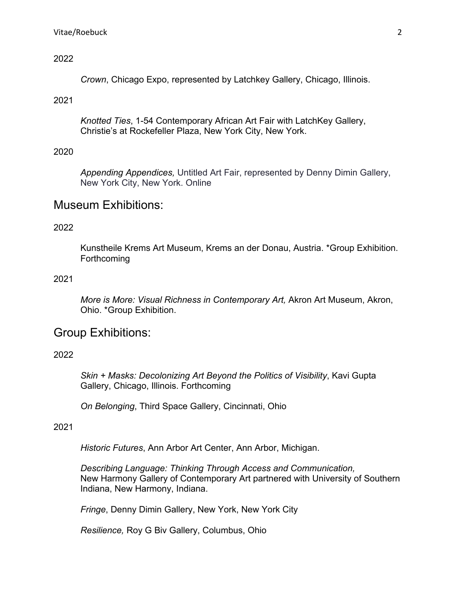#### 2022

*Crown*, Chicago Expo, represented by Latchkey Gallery, Chicago, Illinois.

#### 2021

*Knotted Ties*, 1-54 Contemporary African Art Fair with LatchKey Gallery, Christie's at Rockefeller Plaza, New York City, New York.

#### 2020

*Appending Appendices,* Untitled Art Fair, represented by Denny Dimin Gallery, New York City, New York. Online

## Museum Exhibitions:

#### 2022

Kunstheile Krems Art Museum, Krems an der Donau, Austria. \*Group Exhibition. **Forthcoming** 

#### 2021

*More is More: Visual Richness in Contemporary Art,* Akron Art Museum, Akron, Ohio. \*Group Exhibition.

## Group Exhibitions:

#### 2022

*Skin + Masks: Decolonizing Art Beyond the Politics of Visibility*, Kavi Gupta Gallery, Chicago, Illinois. Forthcoming

*On Belonging*, Third Space Gallery, Cincinnati, Ohio

#### 2021

*Historic Futures*, Ann Arbor Art Center, Ann Arbor, Michigan.

*Describing Language: Thinking Through Access and Communication,* New Harmony Gallery of Contemporary Art partnered with University of Southern Indiana, New Harmony, Indiana.

*Fringe*, Denny Dimin Gallery, New York, New York City

*Resilience,* Roy G Biv Gallery, Columbus, Ohio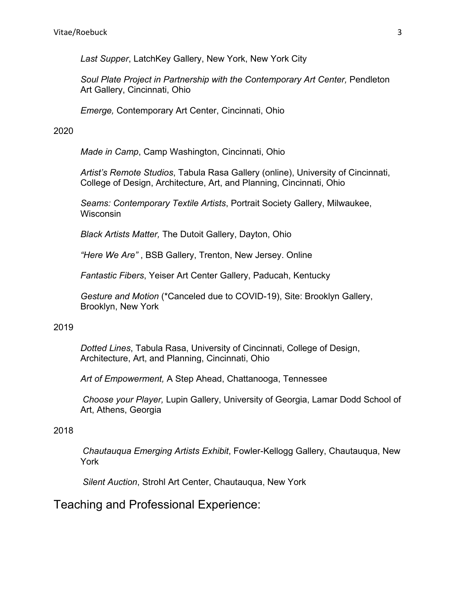*Last Supper*, LatchKey Gallery, New York, New York City

Soul Plate Project in Partnership with the Contemporary Art Center, Pendleton Art Gallery, Cincinnati, Ohio

*Emerge,* Contemporary Art Center, Cincinnati, Ohio

#### 2020

*Made in Camp*, Camp Washington, Cincinnati, Ohio

*Artist's Remote Studios*, Tabula Rasa Gallery (online), University of Cincinnati, College of Design, Architecture, Art, and Planning, Cincinnati, Ohio

*Seams: Contemporary Textile Artists*, Portrait Society Gallery, Milwaukee, **Wisconsin** 

*Black Artists Matter,* The Dutoit Gallery, Dayton, Ohio

*"Here We Are"* , BSB Gallery, Trenton, New Jersey. Online

*Fantastic Fibers*, Yeiser Art Center Gallery, Paducah, Kentucky

*Gesture and Motion* (\*Canceled due to COVID-19), Site: Brooklyn Gallery, Brooklyn, New York

#### 2019

*Dotted Lines*, Tabula Rasa, University of Cincinnati, College of Design, Architecture, Art, and Planning, Cincinnati, Ohio

*Art of Empowerment,* A Step Ahead, Chattanooga, Tennessee

*Choose your Player,* Lupin Gallery, University of Georgia, Lamar Dodd School of Art, Athens, Georgia

## 2018

*Chautauqua Emerging Artists Exhibit*, Fowler-Kellogg Gallery, Chautauqua, New York

*Silent Auction*, Strohl Art Center, Chautauqua, New York

## Teaching and Professional Experience: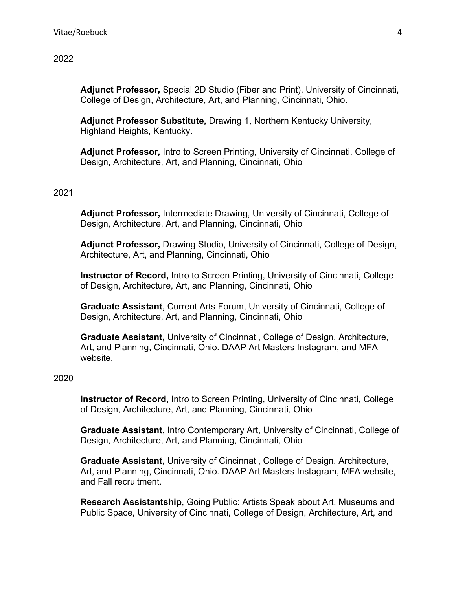**Adjunct Professor,** Special 2D Studio (Fiber and Print), University of Cincinnati, College of Design, Architecture, Art, and Planning, Cincinnati, Ohio.

**Adjunct Professor Substitute,** Drawing 1, Northern Kentucky University, Highland Heights, Kentucky.

**Adjunct Professor,** Intro to Screen Printing, University of Cincinnati, College of Design, Architecture, Art, and Planning, Cincinnati, Ohio

#### 2021

**Adjunct Professor,** Intermediate Drawing, University of Cincinnati, College of Design, Architecture, Art, and Planning, Cincinnati, Ohio

**Adjunct Professor,** Drawing Studio, University of Cincinnati, College of Design, Architecture, Art, and Planning, Cincinnati, Ohio

**Instructor of Record,** Intro to Screen Printing, University of Cincinnati, College of Design, Architecture, Art, and Planning, Cincinnati, Ohio

**Graduate Assistant**, Current Arts Forum, University of Cincinnati, College of Design, Architecture, Art, and Planning, Cincinnati, Ohio

**Graduate Assistant,** University of Cincinnati, College of Design, Architecture, Art, and Planning, Cincinnati, Ohio. DAAP Art Masters Instagram, and MFA website.

#### 2020

**Instructor of Record,** Intro to Screen Printing, University of Cincinnati, College of Design, Architecture, Art, and Planning, Cincinnati, Ohio

**Graduate Assistant**, Intro Contemporary Art, University of Cincinnati, College of Design, Architecture, Art, and Planning, Cincinnati, Ohio

**Graduate Assistant,** University of Cincinnati, College of Design, Architecture, Art, and Planning, Cincinnati, Ohio. DAAP Art Masters Instagram, MFA website, and Fall recruitment.

**Research Assistantship**, Going Public: Artists Speak about Art, Museums and Public Space, University of Cincinnati, College of Design, Architecture, Art, and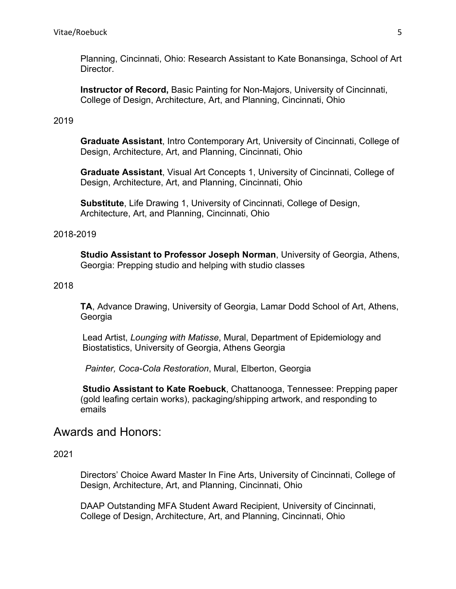Planning, Cincinnati, Ohio: Research Assistant to Kate Bonansinga, School of Art Director.

**Instructor of Record,** Basic Painting for Non-Majors, University of Cincinnati, College of Design, Architecture, Art, and Planning, Cincinnati, Ohio

#### 2019

**Graduate Assistant**, Intro Contemporary Art, University of Cincinnati, College of Design, Architecture, Art, and Planning, Cincinnati, Ohio

**Graduate Assistant**, Visual Art Concepts 1, University of Cincinnati, College of Design, Architecture, Art, and Planning, Cincinnati, Ohio

**Substitute**, Life Drawing 1, University of Cincinnati, College of Design, Architecture, Art, and Planning, Cincinnati, Ohio

#### 2018-2019

**Studio Assistant to Professor Joseph Norman**, University of Georgia, Athens, Georgia: Prepping studio and helping with studio classes

#### 2018

**TA**, Advance Drawing, University of Georgia, Lamar Dodd School of Art, Athens, Georgia

Lead Artist, *Lounging with Matisse*, Mural, Department of Epidemiology and Biostatistics, University of Georgia, Athens Georgia

*Painter, Coca-Cola Restoration*, Mural, Elberton, Georgia

**Studio Assistant to Kate Roebuck**, Chattanooga, Tennessee: Prepping paper (gold leafing certain works), packaging/shipping artwork, and responding to emails

## Awards and Honors:

2021

Directors' Choice Award Master In Fine Arts, University of Cincinnati, College of Design, Architecture, Art, and Planning, Cincinnati, Ohio

DAAP Outstanding MFA Student Award Recipient, University of Cincinnati, College of Design, Architecture, Art, and Planning, Cincinnati, Ohio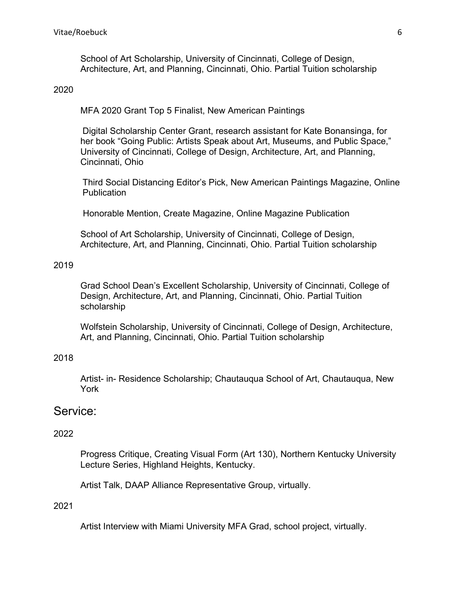School of Art Scholarship, University of Cincinnati, College of Design, Architecture, Art, and Planning, Cincinnati, Ohio. Partial Tuition scholarship

#### 2020

MFA 2020 Grant Top 5 Finalist, New American Paintings

Digital Scholarship Center Grant, research assistant for Kate Bonansinga, for her book "Going Public: Artists Speak about Art, Museums, and Public Space," University of Cincinnati, College of Design, Architecture, Art, and Planning, Cincinnati, Ohio

Third Social Distancing Editor's Pick, New American Paintings Magazine, Online **Publication** 

Honorable Mention, Create Magazine, Online Magazine Publication

School of Art Scholarship, University of Cincinnati, College of Design, Architecture, Art, and Planning, Cincinnati, Ohio. Partial Tuition scholarship

#### 2019

Grad School Dean's Excellent Scholarship, University of Cincinnati, College of Design, Architecture, Art, and Planning, Cincinnati, Ohio. Partial Tuition scholarship

Wolfstein Scholarship, University of Cincinnati, College of Design, Architecture, Art, and Planning, Cincinnati, Ohio. Partial Tuition scholarship

#### 2018

Artist- in- Residence Scholarship; Chautauqua School of Art, Chautauqua, New York

## Service:

#### 2022

Progress Critique, Creating Visual Form (Art 130), Northern Kentucky University Lecture Series, Highland Heights, Kentucky.

Artist Talk, DAAP Alliance Representative Group, virtually.

#### 2021

Artist Interview with Miami University MFA Grad, school project, virtually.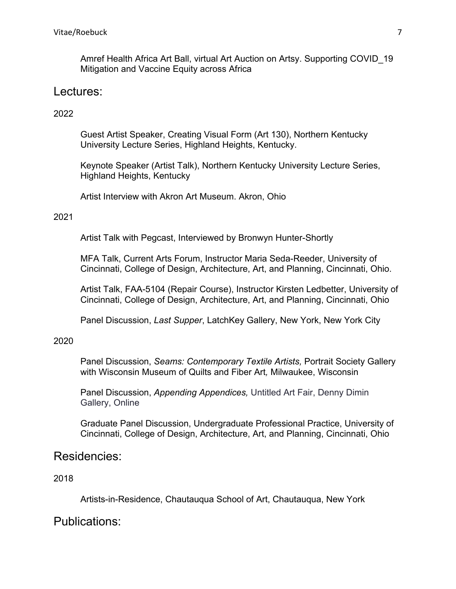Amref Health Africa Art Ball, virtual Art Auction on Artsy. Supporting COVID\_19 Mitigation and Vaccine Equity across Africa

## Lectures:

### 2022

Guest Artist Speaker, Creating Visual Form (Art 130), Northern Kentucky University Lecture Series, Highland Heights, Kentucky.

Keynote Speaker (Artist Talk), Northern Kentucky University Lecture Series, Highland Heights, Kentucky

Artist Interview with Akron Art Museum. Akron, Ohio

#### 2021

Artist Talk with Pegcast, Interviewed by Bronwyn Hunter-Shortly

MFA Talk, Current Arts Forum, Instructor Maria Seda-Reeder, University of Cincinnati, College of Design, Architecture, Art, and Planning, Cincinnati, Ohio.

Artist Talk, FAA-5104 (Repair Course), Instructor Kirsten Ledbetter, University of Cincinnati, College of Design, Architecture, Art, and Planning, Cincinnati, Ohio

Panel Discussion, *Last Supper*, LatchKey Gallery, New York, New York City

#### 2020

Panel Discussion, *Seams: Contemporary Textile Artists,* Portrait Society Gallery with Wisconsin Museum of Quilts and Fiber Art*,* Milwaukee, Wisconsin

Panel Discussion, *Appending Appendices,* Untitled Art Fair, Denny Dimin Gallery, Online

Graduate Panel Discussion, Undergraduate Professional Practice, University of Cincinnati, College of Design, Architecture, Art, and Planning, Cincinnati, Ohio

## Residencies:

## 2018

Artists-in-Residence, Chautauqua School of Art, Chautauqua, New York

## Publications: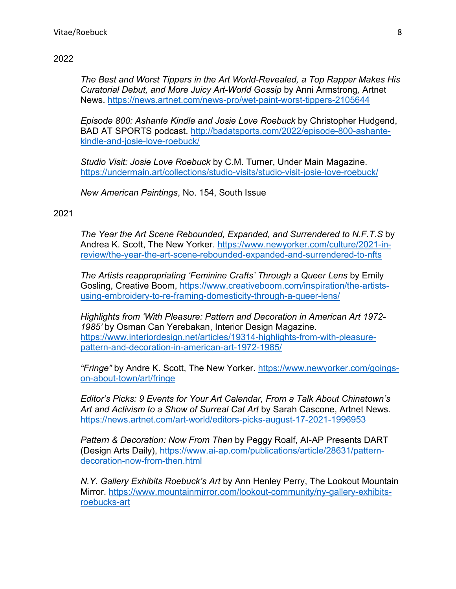#### 2022

*The Best and Worst Tippers in the Art World-Revealed, a Top Rapper Makes His Curatorial Debut, and More Juicy Art-World Gossip* by Anni Armstrong*,* Artnet News.<https://news.artnet.com/news-pro/wet-paint-worst-tippers-2105644>

*Episode 800: Ashante Kindle and Josie Love Roebuck* by Christopher Hudgend, BAD AT SPORTS podcast. [http://badatsports.com/2022/episode-800-ashante](http://badatsports.com/2022/episode-800-ashante-kindle-and-josie-love-roebuck/)[kindle-and-josie-love-roebuck/](http://badatsports.com/2022/episode-800-ashante-kindle-and-josie-love-roebuck/) 

*Studio Visit: Josie Love Roebuck* by C.M. Turner, Under Main Magazine. <https://undermain.art/collections/studio-visits/studio-visit-josie-love-roebuck/>

*New American Paintings*, No. 154, South Issue

### 2021

*The Year the Art Scene Rebounded, Expanded, and Surrendered to N.F.T.S* by Andrea K. Scott, The New Yorker. [https://www.newyorker.com/culture/2021-in](https://www.newyorker.com/culture/2021-in-review/the-year-the-art-scene-rebounded-expanded-and-surrendered-to-nfts)[review/the-year-the-art-scene-rebounded-expanded-and-surrendered-to-nfts](https://www.newyorker.com/culture/2021-in-review/the-year-the-art-scene-rebounded-expanded-and-surrendered-to-nfts) 

*The Artists reappropriating 'Feminine Crafts' Through a Queer Lens* by Emily Gosling, Creative Boom, [https://www.creativeboom.com/inspiration/the-artists](https://www.creativeboom.com/inspiration/the-artists-using-embroidery-to-re-framing-domesticity-through-a-queer-lens/)[using-embroidery-to-re-framing-domesticity-through-a-queer-lens/](https://www.creativeboom.com/inspiration/the-artists-using-embroidery-to-re-framing-domesticity-through-a-queer-lens/) 

*Highlights from 'With Pleasure: Pattern and Decoration in American Art 1972- 1985'* by Osman Can Yerebakan, Interior Design Magazine. [https://www.interiordesign.net/articles/19314-highlights-from-with-pleasure](https://www.interiordesign.net/articles/19314-highlights-from-with-pleasure-pattern-and-decoration-in-american-art-1972-1985/)[pattern-and-decoration-in-american-art-1972-1985/](https://www.interiordesign.net/articles/19314-highlights-from-with-pleasure-pattern-and-decoration-in-american-art-1972-1985/) 

*"Fringe"* by Andre K. Scott, The New Yorker. [https://www.newyorker.com/goings](https://www.newyorker.com/goings-on-about-town/art/fringe)[on-about-town/art/fringe](https://www.newyorker.com/goings-on-about-town/art/fringe)

*Editor's Picks: 9 Events for Your Art Calendar, From a Talk About Chinatown's Art and Activism to a Show of Surreal Cat Art* by Sarah Cascone, Artnet News. <https://news.artnet.com/art-world/editors-picks-august-17-2021-1996953>

*Pattern & Decoration: Now From Then* by Peggy Roalf, AI-AP Presents DART (Design Arts Daily), [https://www.ai-ap.com/publications/article/28631/pattern](https://www.ai-ap.com/publications/article/28631/pattern-decoration-now-from-then.html)[decoration-now-from-then.html](https://www.ai-ap.com/publications/article/28631/pattern-decoration-now-from-then.html) 

*N.Y. Gallery Exhibits Roebuck's Art* by Ann Henley Perry, The Lookout Mountain Mirror. [https://www.mountainmirror.com/lookout-community/ny-gallery-exhibits](https://www.mountainmirror.com/lookout-community/ny-gallery-exhibits-roebucks-art)[roebucks-art](https://www.mountainmirror.com/lookout-community/ny-gallery-exhibits-roebucks-art)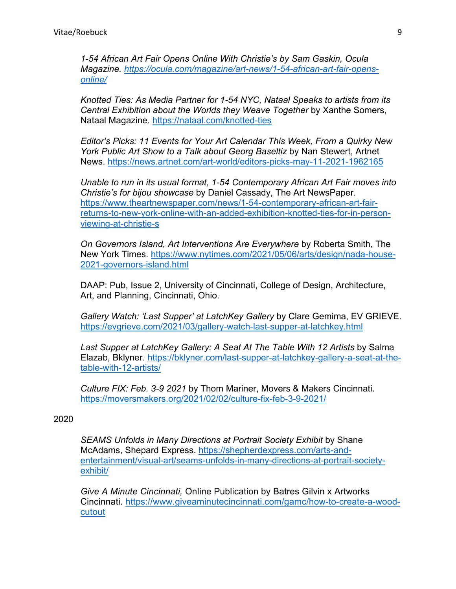*1-54 African Art Fair Opens Online With Christie's by Sam Gaskin, Ocula Magazine. [https://ocula.com/magazine/art-news/1-54-african-art-fair-opens](https://ocula.com/magazine/art-news/1-54-african-art-fair-opens-online/)[online/](https://ocula.com/magazine/art-news/1-54-african-art-fair-opens-online/)* 

*Knotted Ties: As Media Partner for 1-54 NYC, Nataal Speaks to artists from its Central Exhibition about the Worlds they Weave Together* by Xanthe Somers, Nataal Magazine.<https://nataal.com/knotted-ties>

*Editor's Picks: 11 Events for Your Art Calendar This Week, From a Quirky New York Public Art Show to a Talk about Georg Baseltiz* by Nan Stewert, Artnet News.<https://news.artnet.com/art-world/editors-picks-may-11-2021-1962165>

*Unable to run in its usual format, 1-54 Contemporary African Art Fair moves into Christie's for bijou showcase* by Daniel Cassady, The Art NewsPaper. [https://www.theartnewspaper.com/news/1-54-contemporary-african-art-fair](https://www.theartnewspaper.com/news/1-54-contemporary-african-art-fair-returns-to-new-york-online-with-an-added-exhibition-knotted-ties-for-in-person-viewing-at-christie-s)[returns-to-new-york-online-with-an-added-exhibition-knotted-ties-for-in-person](https://www.theartnewspaper.com/news/1-54-contemporary-african-art-fair-returns-to-new-york-online-with-an-added-exhibition-knotted-ties-for-in-person-viewing-at-christie-s)[viewing-at-christie-s](https://www.theartnewspaper.com/news/1-54-contemporary-african-art-fair-returns-to-new-york-online-with-an-added-exhibition-knotted-ties-for-in-person-viewing-at-christie-s) 

*On Governors Island, Art Interventions Are Everywhere* by Roberta Smith, The New York Times. [https://www.nytimes.com/2021/05/06/arts/design/nada-house-](https://www.nytimes.com/2021/05/06/arts/design/nada-house-2021-governors-island.html)[2021-governors-island.html](https://www.nytimes.com/2021/05/06/arts/design/nada-house-2021-governors-island.html) 

DAAP: Pub, Issue 2, University of Cincinnati, College of Design, Architecture, Art, and Planning, Cincinnati, Ohio.

*Gallery Watch: 'Last Supper' at LatchKey Gallery* by Clare Gemima, EV GRIEVE. <https://evgrieve.com/2021/03/gallery-watch-last-supper-at-latchkey.html>

*Last Supper at LatchKey Gallery: A Seat At The Table With 12 Artists* by Salma Elazab, Bklyner. [https://bklyner.com/last-supper-at-latchkey-gallery-a-seat-at-the](https://bklyner.com/last-supper-at-latchkey-gallery-a-seat-at-the-table-with-12-artists/)[table-with-12-artists/](https://bklyner.com/last-supper-at-latchkey-gallery-a-seat-at-the-table-with-12-artists/) 

*Culture FIX: Feb. 3-9 2021* by Thom Mariner, Movers & Makers Cincinnati. <https://moversmakers.org/2021/02/02/culture-fix-feb-3-9-2021/>

#### 2020

*SEAMS Unfolds in Many Directions at Portrait Society Exhibit* by Shane McAdams, Shepard Express. [https://shepherdexpress.com/arts-and](https://shepherdexpress.com/arts-and-entertainment/visual-art/seams-unfolds-in-many-directions-at-portrait-society-exhibit/)[entertainment/visual-art/seams-unfolds-in-many-directions-at-portrait-society](https://shepherdexpress.com/arts-and-entertainment/visual-art/seams-unfolds-in-many-directions-at-portrait-society-exhibit/)[exhibit/](https://shepherdexpress.com/arts-and-entertainment/visual-art/seams-unfolds-in-many-directions-at-portrait-society-exhibit/) 

*Give A Minute Cincinnati,* Online Publication by Batres Gilvin x Artworks Cincinnati*.* [https://www.giveaminutecincinnati.com/gamc/how-to-create-a-wood](https://www.giveaminutecincinnati.com/gamc/how-to-create-a-wood-cutout)[cutout](https://www.giveaminutecincinnati.com/gamc/how-to-create-a-wood-cutout)